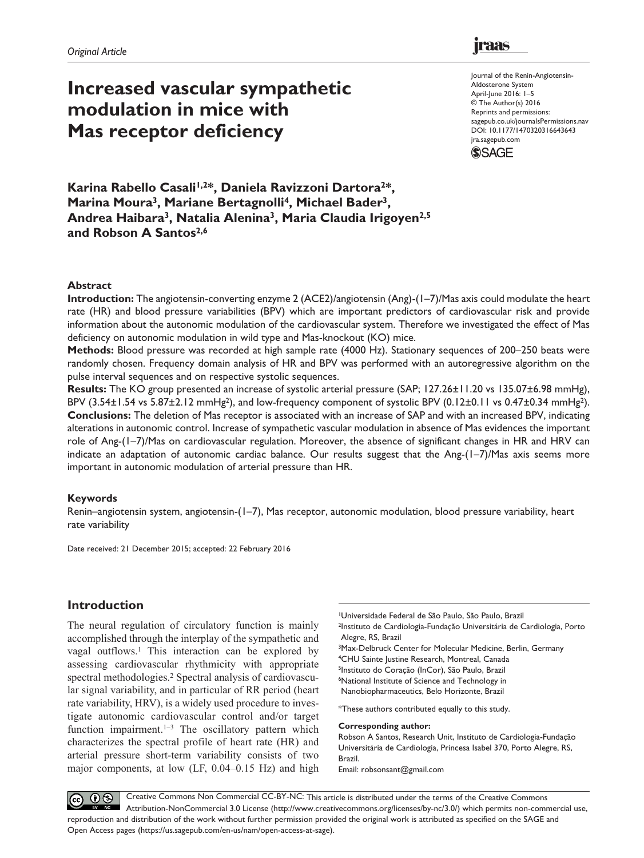# **Increased vascular sympathetic modulation in mice with Mas receptor deficiency**

Journal of the Renin-Angiotensin-Aldosterone System April-June 2016: 1–5 © The Author(s) 2016 Reprints and permissions: sagepub.co.uk/journalsPermissions.nav DOI: 10.1177/1470320316643643 jra.sagepub.com



**Karina Rabello Casali1,2\*, Daniela Ravizzoni Dartora2\*, Marina Moura3, Mariane Bertagnolli4, Michael Bader3, Andrea Haibara3, Natalia Alenina3, Maria Claudia Irigoyen2,5 and Robson A Santos2,6**

## **Abstract**

**Introduction:** The angiotensin-converting enzyme 2 (ACE2)/angiotensin (Ang)-(1–7)/Mas axis could modulate the heart rate (HR) and blood pressure variabilities (BPV) which are important predictors of cardiovascular risk and provide information about the autonomic modulation of the cardiovascular system. Therefore we investigated the effect of Mas deficiency on autonomic modulation in wild type and Mas-knockout (KO) mice.

**Methods:** Blood pressure was recorded at high sample rate (4000 Hz). Stationary sequences of 200–250 beats were randomly chosen. Frequency domain analysis of HR and BPV was performed with an autoregressive algorithm on the pulse interval sequences and on respective systolic sequences.

**Results:** The KO group presented an increase of systolic arterial pressure (SAP; 127.26±11.20 vs 135.07±6.98 mmHg), BPV  $(3.54\pm1.54 \text{ vs } 5.87\pm2.12 \text{ mmHg}^2)$ , and low-frequency component of systolic BPV  $(0.12\pm0.11 \text{ vs } 0.47\pm0.34 \text{ mmHg}^2)$ . **Conclusions:** The deletion of Mas receptor is associated with an increase of SAP and with an increased BPV, indicating alterations in autonomic control. Increase of sympathetic vascular modulation in absence of Mas evidences the important role of Ang-(1–7)/Mas on cardiovascular regulation. Moreover, the absence of significant changes in HR and HRV can indicate an adaptation of autonomic cardiac balance. Our results suggest that the Ang-(1-7)/Mas axis seems more important in autonomic modulation of arterial pressure than HR.

## **Keywords**

Renin–angiotensin system, angiotensin-(1–7), Mas receptor, autonomic modulation, blood pressure variability, heart rate variability

Date received: 21 December 2015; accepted: 22 February 2016

# **Introduction**

The neural regulation of circulatory function is mainly accomplished through the interplay of the sympathetic and vagal outflows.<sup>1</sup> This interaction can be explored by assessing cardiovascular rhythmicity with appropriate spectral methodologies.2 Spectral analysis of cardiovascular signal variability, and in particular of RR period (heart rate variability, HRV), is a widely used procedure to investigate autonomic cardiovascular control and/or target function impairment.<sup>1–3</sup> The oscillatory pattern which characterizes the spectral profile of heart rate (HR) and arterial pressure short-term variability consists of two major components, at low (LF, 0.04–0.15 Hz) and high 1Universidade Federal de São Paulo, São Paulo, Brazil

2Instituto de Cardiologia-Fundação Universitária de Cardiologia, Porto Alegre, RS, Brazil

3Max-Delbruck Center for Molecular Medicine, Berlin, Germany 4CHU Sainte Justine Research, Montreal, Canada 5Instituto do Coração (InCor), São Paulo, Brazil 6National Institute of Science and Technology in Nanobiopharmaceutics, Belo Horizonte, Brazil

\*These authors contributed equally to this study.

#### **Corresponding author:**

Robson A Santos, Research Unit, Instituto de Cardiologia-Fundação Universitária de Cardiologia, Princesa Isabel 370, Porto Alegre, RS, Brazil.

Email: [robsonsant@gmail.com](mailto:robsonsant@gmail.com)

 $\circledcirc$ Creative Commons Non Commercial CC-BY-NC: This article is distributed under the terms of the Creative Commons Attribution-NonCommercial 3.0 License (http://www.creativecommons.org/licenses/by-nc/3.0/) which permits non-commercial use, reproduction and distribution of the work without further permission provided the original work is attributed as specified on the SAGE and Open Access pages (https://us.sagepub.com/en-us/nam/open-access-at-sage).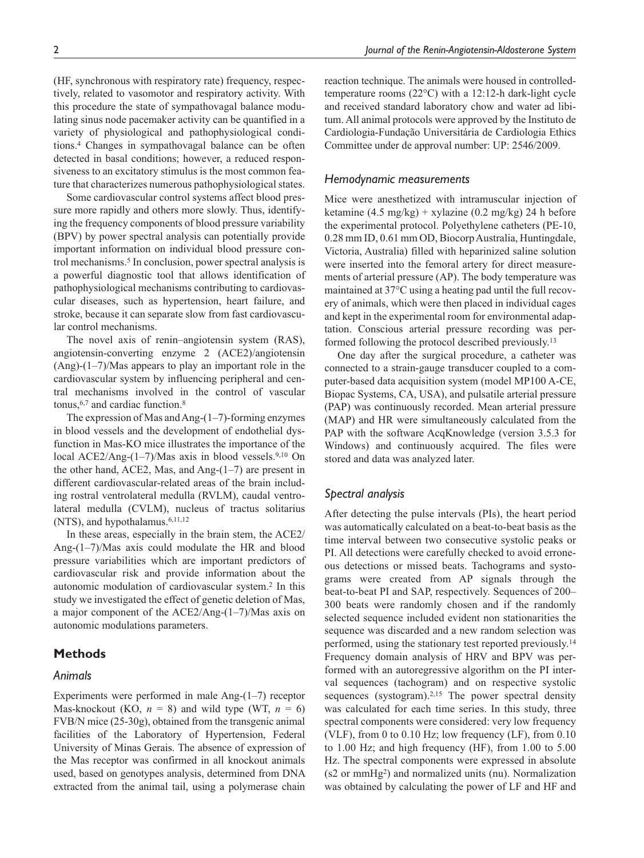(HF, synchronous with respiratory rate) frequency, respectively, related to vasomotor and respiratory activity. With this procedure the state of sympathovagal balance modulating sinus node pacemaker activity can be quantified in a variety of physiological and pathophysiological conditions.4 Changes in sympathovagal balance can be often detected in basal conditions; however, a reduced responsiveness to an excitatory stimulus is the most common feature that characterizes numerous pathophysiological states.

Some cardiovascular control systems affect blood pressure more rapidly and others more slowly. Thus, identifying the frequency components of blood pressure variability (BPV) by power spectral analysis can potentially provide important information on individual blood pressure control mechanisms.<sup>5</sup> In conclusion, power spectral analysis is a powerful diagnostic tool that allows identification of pathophysiological mechanisms contributing to cardiovascular diseases, such as hypertension, heart failure, and stroke, because it can separate slow from fast cardiovascular control mechanisms.

The novel axis of renin–angiotensin system (RAS), angiotensin-converting enzyme 2 (ACE2)/angiotensin (Ang)-(1–7)/Mas appears to play an important role in the cardiovascular system by influencing peripheral and central mechanisms involved in the control of vascular tonus,<sup>6,7</sup> and cardiac function.<sup>8</sup>

The expression of Mas and Ang- $(1-7)$ -forming enzymes in blood vessels and the development of endothelial dysfunction in Mas-KO mice illustrates the importance of the local ACE2/Ang- $(1-7)$ /Mas axis in blood vessels.<sup>9,10</sup> On the other hand, ACE2, Mas, and Ang-(1–7) are present in different cardiovascular-related areas of the brain including rostral ventrolateral medulla (RVLM), caudal ventrolateral medulla (CVLM), nucleus of tractus solitarius (NTS), and hypothalamus.<sup>6,11,12</sup>

In these areas, especially in the brain stem, the ACE2/ Ang-(1–7)/Mas axis could modulate the HR and blood pressure variabilities which are important predictors of cardiovascular risk and provide information about the autonomic modulation of cardiovascular system.2 In this study we investigated the effect of genetic deletion of Mas, a major component of the ACE2/Ang-(1–7)/Mas axis on autonomic modulations parameters.

# **Methods**

## *Animals*

Experiments were performed in male  $Ang-(1-7)$  receptor Mas-knockout (KO,  $n = 8$ ) and wild type (WT,  $n = 6$ ) FVB/N mice (25-30g), obtained from the transgenic animal facilities of the Laboratory of Hypertension, Federal University of Minas Gerais. The absence of expression of the Mas receptor was confirmed in all knockout animals used, based on genotypes analysis, determined from DNA extracted from the animal tail, using a polymerase chain

reaction technique. The animals were housed in controlledtemperature rooms (22°C) with a 12:12-h dark-light cycle and received standard laboratory chow and water ad libitum. All animal protocols were approved by the Instituto de Cardiologia-Fundação Universitária de Cardiologia Ethics Committee under de approval number: UP: 2546/2009.

#### *Hemodynamic measurements*

Mice were anesthetized with intramuscular injection of ketamine  $(4.5 \text{ mg/kg}) + xy$ lazine  $(0.2 \text{ mg/kg})$  24 h before the experimental protocol. Polyethylene catheters (PE-10, 0.28 mm ID, 0.61 mm OD, Biocorp Australia, Huntingdale, Victoria, Australia) filled with heparinized saline solution were inserted into the femoral artery for direct measurements of arterial pressure (AP). The body temperature was maintained at 37°C using a heating pad until the full recovery of animals, which were then placed in individual cages and kept in the experimental room for environmental adaptation. Conscious arterial pressure recording was performed following the protocol described previously.13

One day after the surgical procedure, a catheter was connected to a strain-gauge transducer coupled to a computer-based data acquisition system (model MP100 A-CE, Biopac Systems, CA, USA), and pulsatile arterial pressure (PAP) was continuously recorded. Mean arterial pressure (MAP) and HR were simultaneously calculated from the PAP with the software AcqKnowledge (version 3.5.3 for Windows) and continuously acquired. The files were stored and data was analyzed later.

#### *Spectral analysis*

After detecting the pulse intervals (PIs), the heart period was automatically calculated on a beat-to-beat basis as the time interval between two consecutive systolic peaks or PI. All detections were carefully checked to avoid erroneous detections or missed beats. Tachograms and systograms were created from AP signals through the beat-to-beat PI and SAP, respectively. Sequences of 200– 300 beats were randomly chosen and if the randomly selected sequence included evident non stationarities the sequence was discarded and a new random selection was performed, using the stationary test reported previously.14 Frequency domain analysis of HRV and BPV was performed with an autoregressive algorithm on the PI interval sequences (tachogram) and on respective systolic sequences (systogram).<sup>2,15</sup> The power spectral density was calculated for each time series. In this study, three spectral components were considered: very low frequency (VLF), from 0 to 0.10 Hz; low frequency (LF), from 0.10 to 1.00 Hz; and high frequency (HF), from 1.00 to 5.00 Hz. The spectral components were expressed in absolute (s2 or mmHg2) and normalized units (nu). Normalization was obtained by calculating the power of LF and HF and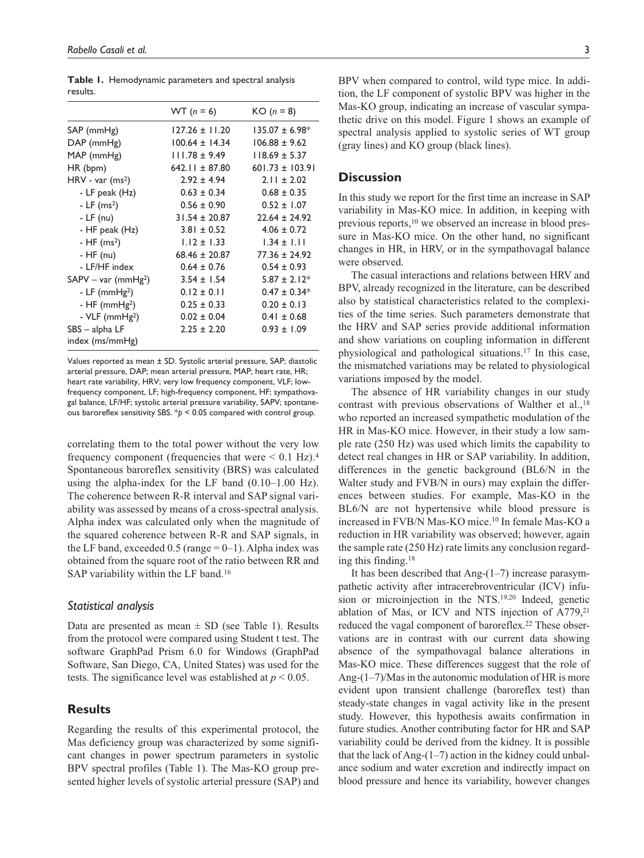|                                   | $WT (n = 6)$       | $KO (n = 8)$        |
|-----------------------------------|--------------------|---------------------|
| SAP (mmHg)                        | $127.26 \pm 11.20$ | $135.07 \pm 6.98^*$ |
| $DAP$ (mm $Hg$ )                  | $100.64 \pm 14.34$ | $106.88 \pm 9.62$   |
| $MAP$ (mm $Hg$ )                  | $111.78 \pm 9.49$  | $118.69 \pm 5.37$   |
| HR (bpm)                          | 642.11 $\pm$ 87.80 | $601.73 \pm 103.91$ |
| $HRV - var$ (ms <sup>2</sup> )    | $2.92 \pm 4.94$    | $2.11 \pm 2.02$     |
| - LF peak (Hz)                    | $0.63 \pm 0.34$    | $0.68 \pm 0.35$     |
| - LF $(ms2)$                      | $0.56 \pm 0.90$    | $0.52 \pm 1.07$     |
| - LF (nu)                         | $31.54 \pm 20.87$  | $22.64 \pm 24.92$   |
| - HF peak (Hz)                    | $3.81 \pm 0.52$    | $4.06 \pm 0.72$     |
| - HF $(ms2)$                      | $1.12 \pm 1.33$    | $1.34 \pm 1.11$     |
| - HF (nu)                         | $68.46 \pm 20.87$  | $77.36 + 24.92$     |
| - LF/HF index                     | $0.64 \pm 0.76$    | $0.54 \pm 0.93$     |
| $SAPV - var$ (mmHg <sup>2</sup> ) | $3.54 \pm 1.54$    | $5.87 \pm 2.12*$    |
| - LF (mm $Hg2$ )                  | $0.12 \pm 0.11$    | $0.47 \pm 0.34*$    |
| - HF (mm $Hg2$ )                  | $0.25 \pm 0.33$    | $0.20 \pm 0.13$     |
| - VLF $(mmHg2)$                   | $0.02 \pm 0.04$    | $0.41 \pm 0.68$     |
| SBS - alpha LF<br>index (ms/mmHg) | $2.25 \pm 2.20$    | $0.93 \pm 1.09$     |
|                                   |                    |                     |

**Table 1.** Hemodynamic parameters and spectral analysis results.

Values reported as mean ± SD. Systolic arterial pressure, SAP; diastolic arterial pressure, DAP; mean arterial pressure, MAP; heart rate, HR; heart rate variability, HRV; very low frequency component, VLF; lowfrequency component, LF; high-frequency component, HF; sympathovagal balance, LF/HF; systolic arterial pressure variability, SAPV; spontaneous baroreflex sensitivity SBS. \**p* < 0.05 compared with control group.

correlating them to the total power without the very low frequency component (frequencies that were  $\leq 0.1$  Hz).<sup>4</sup> Spontaneous baroreflex sensitivity (BRS) was calculated using the alpha-index for the LF band (0.10–1.00 Hz). The coherence between R-R interval and SAP signal variability was assessed by means of a cross-spectral analysis. Alpha index was calculated only when the magnitude of the squared coherence between R-R and SAP signals, in the LF band, exceeded  $0.5$  (range = 0–1). Alpha index was obtained from the square root of the ratio between RR and SAP variability within the LF band.<sup>16</sup>

#### *Statistical analysis*

Data are presented as mean  $\pm$  SD (see Table 1). Results from the protocol were compared using Student t test. The software GraphPad Prism 6.0 for Windows (GraphPad Software, San Diego, CA, United States) was used for the tests. The significance level was established at *p* < 0.05.

# **Results**

Regarding the results of this experimental protocol, the Mas deficiency group was characterized by some significant changes in power spectrum parameters in systolic BPV spectral profiles (Table 1). The Mas-KO group presented higher levels of systolic arterial pressure (SAP) and BPV when compared to control, wild type mice. In addition, the LF component of systolic BPV was higher in the Mas-KO group, indicating an increase of vascular sympathetic drive on this model. Figure 1 shows an example of spectral analysis applied to systolic series of WT group (gray lines) and KO group (black lines).

## **Discussion**

In this study we report for the first time an increase in SAP variability in Mas-KO mice. In addition, in keeping with previous reports,10 we observed an increase in blood pressure in Mas-KO mice. On the other hand, no significant changes in HR, in HRV, or in the sympathovagal balance were observed.

The casual interactions and relations between HRV and BPV, already recognized in the literature, can be described also by statistical characteristics related to the complexities of the time series. Such parameters demonstrate that the HRV and SAP series provide additional information and show variations on coupling information in different physiological and pathological situations.17 In this case, the mismatched variations may be related to physiological variations imposed by the model.

The absence of HR variability changes in our study contrast with previous observations of Walther et al.,<sup>18</sup> who reported an increased sympathetic modulation of the HR in Mas-KO mice. However, in their study a low sample rate (250 Hz) was used which limits the capability to detect real changes in HR or SAP variability. In addition, differences in the genetic background (BL6/N in the Walter study and FVB/N in ours) may explain the differences between studies. For example, Mas-KO in the BL6/N are not hypertensive while blood pressure is increased in FVB/N Mas-KO mice.10 In female Mas-KO a reduction in HR variability was observed; however, again the sample rate (250 Hz) rate limits any conclusion regarding this finding.18

It has been described that  $Ang-(1-7)$  increase parasympathetic activity after intracerebroventricular (ICV) infusion or microinjection in the NTS.19,20 Indeed, genetic ablation of Mas, or ICV and NTS injection of  $A779$ ,<sup>21</sup> reduced the vagal component of baroreflex.<sup>22</sup> These observations are in contrast with our current data showing absence of the sympathovagal balance alterations in Mas-KO mice. These differences suggest that the role of Ang-(1–7)/Mas in the autonomic modulation of HR is more evident upon transient challenge (baroreflex test) than steady-state changes in vagal activity like in the present study. However, this hypothesis awaits confirmation in future studies. Another contributing factor for HR and SAP variability could be derived from the kidney. It is possible that the lack of Ang- $(1-7)$  action in the kidney could unbalance sodium and water excretion and indirectly impact on blood pressure and hence its variability, however changes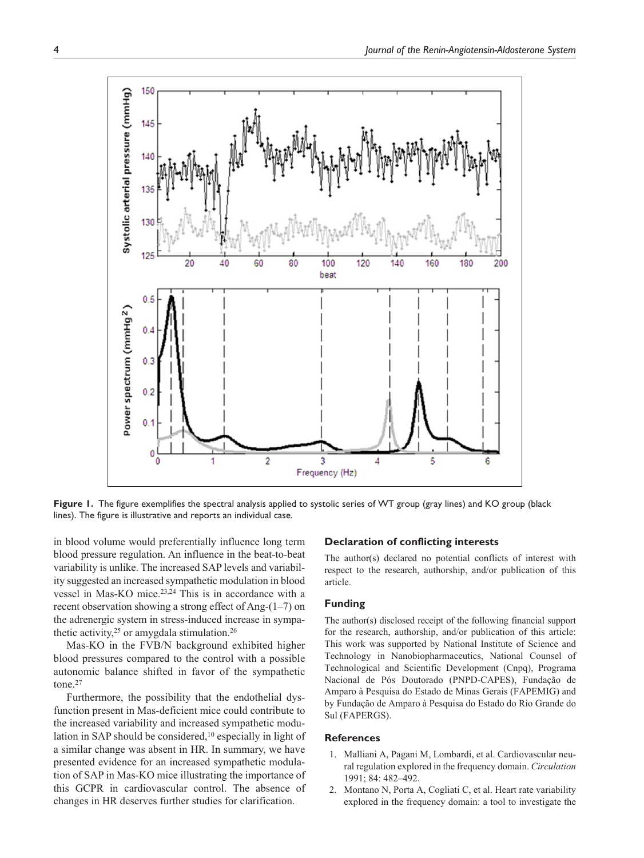

**Figure 1.** The figure exemplifies the spectral analysis applied to systolic series of WT group (gray lines) and KO group (black lines). The figure is illustrative and reports an individual case.

in blood volume would preferentially influence long term blood pressure regulation. An influence in the beat-to-beat variability is unlike. The increased SAP levels and variability suggested an increased sympathetic modulation in blood vessel in Mas-KO mice.23,24 This is in accordance with a recent observation showing a strong effect of Ang-(1–7) on the adrenergic system in stress-induced increase in sympathetic activity,<sup>25</sup> or amygdala stimulation.<sup>26</sup>

Mas-KO in the FVB/N background exhibited higher blood pressures compared to the control with a possible autonomic balance shifted in favor of the sympathetic tone.<sup>27</sup>

Furthermore, the possibility that the endothelial dysfunction present in Mas-deficient mice could contribute to the increased variability and increased sympathetic modulation in SAP should be considered,<sup>10</sup> especially in light of a similar change was absent in HR. In summary, we have presented evidence for an increased sympathetic modulation of SAP in Mas-KO mice illustrating the importance of this GCPR in cardiovascular control. The absence of changes in HR deserves further studies for clarification.

#### **Declaration of conflicting interests**

The author(s) declared no potential conflicts of interest with respect to the research, authorship, and/or publication of this article.

## **Funding**

The author(s) disclosed receipt of the following financial support for the research, authorship, and/or publication of this article: This work was supported by National Institute of Science and Technology in Nanobiopharmaceutics, National Counsel of Technological and Scientific Development (Cnpq), Programa Nacional de Pós Doutorado (PNPD-CAPES), Fundação de Amparo à Pesquisa do Estado de Minas Gerais (FAPEMIG) and by Fundação de Amparo à Pesquisa do Estado do Rio Grande do Sul (FAPERGS).

#### **References**

- 1. Malliani A, Pagani M, Lombardi, et al. Cardiovascular neural regulation explored in the frequency domain. *Circulation* 1991; 84: 482–492.
- 2. Montano N, Porta A, Cogliati C, et al. Heart rate variability explored in the frequency domain: a tool to investigate the